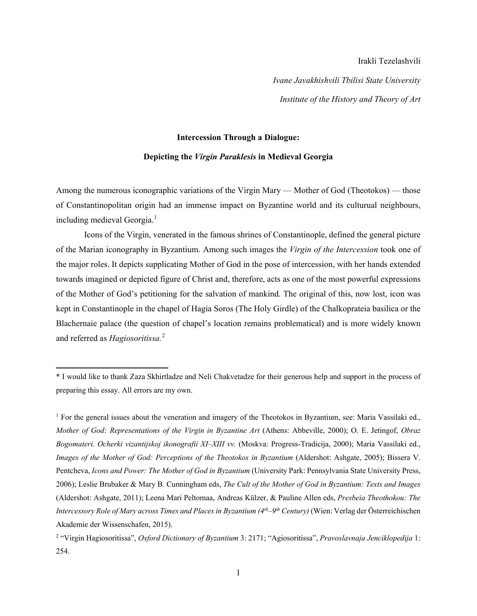## Irakli Tezelashvili

*Ivane Javakhishvili Tbilisi State University Institute of the History and Theory of Art*

## **Intercession Through a Dialogue:**

## **Depicting the** *Virgin Paraklesis* **in Medieval Georgia**

Among the numerous iconographic variations of the Virgin Mary — Mother of God (Theotokos) — those of Constantinopolitan origin had an immense impact on Byzantine world and its culturual neighbours, including medieval Georgia. [1](#page-0-0)

Icons of the Virgin, venerated in the famous shrines of Constantinople, defined the general picture of the Marian iconography in Byzantium. Among such images the *Virgin of the Intercession* took one of the major roles. It depicts supplicating Mother of God in the pose of intercession, with her hands extended towards imagined or depicted figure of Christ and, therefore, acts as one of the most powerful expressions of the Mother of God's petitioning for the salvation of mankind. The original of this, now lost, icon was kept in Constantinople in the chapel of Hagia Soros (The Holy Girdle) of the Chalkoprateia basilica or the Blachernaie palace (the question of chapel's location remains problematical) and is more widely known and referred as *Hagiosoritissa.* [2](#page-0-1)

<span id="page-0-0"></span><sup>\*</sup> I would like to thank Zaza Skhirtladze and Neli Chakvetadze for their generous help and support in the process of preparing this essay. All errors are my own.

<sup>&</sup>lt;sup>1</sup> For the general issues about the veneration and imagery of the Theotokos in Byzantium, see: Maria Vassilaki ed., *Mother of God: Representations of the Virgin in Byzantine Art* (Athens: Abbeville, 2000); O. E. Jetingof, *Obraz Bogomateri. Ocherki vizantijskoj ikonografii XI‒XIII vv.* (Moskva: Progress-Tradicija, 2000); Maria Vassilaki ed., *Images of the Mother of God: Perceptions of the Theotokos in Byzantium* (Aldershot: Ashgate, 2005); Bissera V. Pentcheva, *Icons and Power: The Mother of God in Byzantium* (University Park: Pennsylvania State University Press, 2006); Leslie Brubaker & Mary B. Cunningham eds, *The Cult of the Mother of God in Byzantium: Texts and Images* (Aldershot: Ashgate, 2011); Leena Mari Peltomaa, Andreas Külzer, & Pauline Allen eds, *Presbeia Theothokou: The Intercessory Role of Mary across Times and Places in Byzantium (4<sup>th</sup>–9<sup>th</sup> Century) (Wien: Verlag der Österreichischen* Akademie der Wissenschafen, 2015).

<span id="page-0-1"></span><sup>2</sup> "Virgin Hagiosoritissa", *Oxford Dictionary of Byzantium* 3: 2171; "Agiosoritissa", *Pravoslavnaja Jenciklopedija* 1: 254.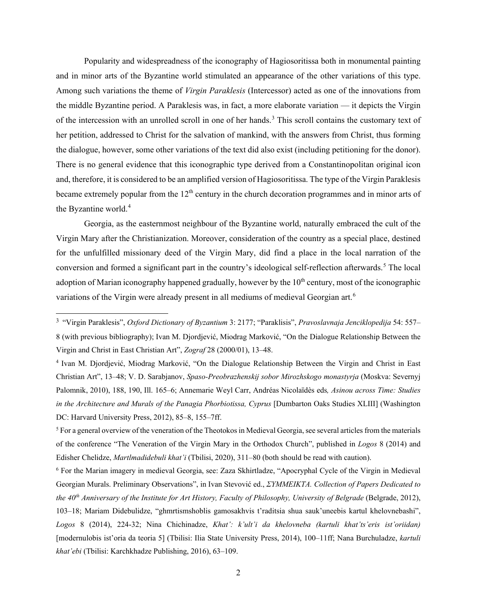Popularity and widespreadness of the iconography of Hagiosoritissa both in monumental painting and in minor arts of the Byzantine world stimulated an appearance of the other variations of this type. Among such variations the theme of *Virgin Paraklesis* (Intercessor) acted as one of the innovations from the middle Byzantine period. A Paraklesis was, in fact, a more elaborate variation — it depicts the Virgin of the intercession with an unrolled scroll in one of her hands.<sup>[3](#page-1-0)</sup> This scroll contains the customary text of her petition, addressed to Christ for the salvation of mankind, with the answers from Christ, thus forming the dialogue, however, some other variations of the text did also exist (including petitioning for the donor). There is no general evidence that this iconographic type derived from a Constantinopolitan original icon and, therefore, it is considered to be an amplified version of Hagiosoritissa. The type of the Virgin Paraklesis became extremely popular from the  $12<sup>th</sup>$  century in the church decoration programmes and in minor arts of the Byzantine world.<sup>[4](#page-1-1)</sup>

Georgia, as the easternmost neighbour of the Byzantine world, naturally embraced the cult of the Virgin Mary after the Christianization. Moreover, consideration of the country as a special place, destined for the unfulfilled missionary deed of the Virgin Mary, did find a place in the local narration of the conversion and formed a significant part in the country's ideological self-reflection afterwards. [5](#page-1-2) The local adoption of Marian iconography happened gradually, however by the  $10<sup>th</sup>$  century, most of the iconographic variations of the Virgin were already present in all mediums of medieval Georgian art.<sup>[6](#page-1-3)</sup>

<span id="page-1-0"></span><sup>3</sup> "Virgin Paraklesis", *Oxford Dictionary of Byzantium* 3: 2177; "Paraklisis", *Pravoslavnaja Jenciklopedija* 54: 557‒ 8 (with previous bibliography); Ivan M. Djordjević, Miodrag Marković, "On the Dialogue Relationship Between the Virgin and Christ in East Christian Art", *Zograf* 28 (2000/01), 13‒48.

<span id="page-1-1"></span><sup>4</sup> Ivan M. Djordjević, Miodrag Marković, "On the Dialogue Relationship Between the Virgin and Christ in East Christian Art", 13‒48; V. D. Sarabjanov, *Spaso-Preobrazhenskij sobor Mirozhskogo monastyrja* (Moskva: Severnyj Palomnik, 2010), 188, 190, Ill. 165‒6; Annemarie Weyl Carr, Andréas Nicolaïdès eds*, Asinou across Time: Studies in the Architecture and Murals of the Panagia Phorbiotissa, Cyprus* [Dumbarton Oaks Studies XLIII] (Washington DC: Harvard University Press, 2012), 85–8, 155–7ff.

<span id="page-1-2"></span><sup>5</sup> For a general overview of the veneration of the Theotokos in Medieval Georgia, see several articles from the materials of the conference "The Veneration of the Virgin Mary in the Orthodox Church", published in *Logos* 8 (2014) and Edisher Chelidze, *Martlmadidebuli khat'i* (Tbilisi, 2020), 311–80 (both should be read with caution).

<span id="page-1-3"></span><sup>6</sup> For the Marian imagery in medieval Georgia, see: Zaza Skhirtladze, "Apocryphal Cycle of the Virgin in Medieval Georgian Murals. Preliminary Observations", in Ivan Stevović ed., *ΣΥΜΜΕΙΚΤΑ. Collection of Papers Dedicated to the 40th Anniversary of the Institute for Art History, Faculty of Philosophy, University of Belgrade* (Belgrade, 2012), 103‒18; Mariam Didebulidze, "ghmrtismshoblis gamosakhvis t'raditsia shua sauk'uneebis kartul khelovnebashi", *Logos* 8 (2014), 224-32; Nina Chichinadze, *Khat': k'ult'i da khelovneba (kartuli khat'ts'eris ist'oriidan)*  [modernulobis ist'oria da teoria 5] (Tbilisi: Ilia State University Press, 2014), 100–11ff; Nana Burchuladze, *kartuli khat'ebi* (Tbilisi: Karchkhadze Publishing, 2016), 63-109.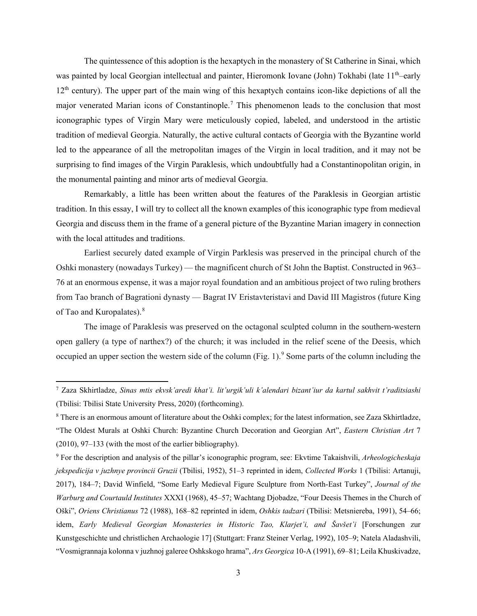The quintessence of this adoption is the hexaptych in the monastery of St Catherine in Sinai, which was painted by local Georgian intellectual and painter, Hieromonk Iovane (John) Tokhabi (late 11<sup>th</sup>—early 12<sup>th</sup> century). The upper part of the main wing of this hexaptych contains icon-like depictions of all the major venerated Marian icons of Constantinople.<sup>[7](#page-2-0)</sup> This phenomenon leads to the conclusion that most iconographic types of Virgin Mary were meticulously copied, labeled, and understood in the artistic tradition of medieval Georgia. Naturally, the active cultural contacts of Georgia with the Byzantine world led to the appearance of all the metropolitan images of the Virgin in local tradition, and it may not be surprising to find images of the Virgin Paraklesis, which undoubtfully had a Constantinopolitan origin, in the monumental painting and minor arts of medieval Georgia.

Remarkably, a little has been written about the features of the Paraklesis in Georgian artistic tradition. In this essay, I will try to collect all the known examples of this iconographic type from medieval Georgia and discuss them in the frame of a general picture of the Byzantine Marian imagery in connection with the local attitudes and traditions.

Earliest securely dated example of Virgin Parklesis was preserved in the principal church of the Oshki monastery (nowadays Turkey) — the magnificent church of St John the Baptist. Constructed in 963– 76 at an enormous expense, it was a major royal foundation and an ambitious project of two ruling brothers from Tao branch of Bagrationi dynasty — Bagrat IV Eristavteristavi and David III Magistros (future King of Tao and Kuropalates).<sup>[8](#page-2-1)</sup>

The image of Paraklesis was preserved on the octagonal sculpted column in the southern-western open gallery (a type of narthex?) of the church; it was included in the relief scene of the Deesis, which occupied an upper section the western side of the column (Fig. 1). [9](#page-2-2) Some parts of the column including the

<span id="page-2-0"></span><sup>7</sup> Zaza Skhirtladze, *Sinas mtis ekvsk'aredi khat'i. lit'urgik'uli k'alendari bizant'iur da kartul sakhvit t'raditsiashi* (Tbilisi: Tbilisi State University Press, 2020) (forthcoming).

<span id="page-2-1"></span><sup>8</sup> There is an enormous amount of literature about the Oshki complex; for the latest information, see Zaza Skhirtladze, "The Oldest Murals at Oshki Church: Byzantine Church Decoration and Georgian Art", *Eastern Christian Art* 7  $(2010)$ , 97–133 (with the most of the earlier bibliography).

<span id="page-2-2"></span><sup>9</sup> For the description and analysis of the pillar's iconographic program, see: Ekvtime Takaishvili, *Arheologicheskaja jekspedicija v juzhnye provincii Gruzii* (Tbilisi, 1952), 51‒3 reprinted in idem, *Collected Works* 1 (Tbilisi: Artanuji, 2017), 184‒7; David Winfield, "Some Early Medieval Figure Sculpture from North-East Turkey", *Journal of the Warburg and Courtauld Institutes* XXXI (1968), 45–57; Wachtang Djobadze, "Four Deesis Themes in the Church of Oški", *Oriens Christianus* 72 (1988), 168‒82 reprinted in idem, *Oshkis tadzari* (Tbilisi: Metsniereba, 1991), 54‒66; idem, *Early Medieval Georgian Monasteries in Historic Tao, Klarjet'i, and Šavšet'i* [Forschungen zur Kunstgeschichte und christlichen Archaologie 17] (Stuttgart: Franz Steiner Verlag, 1992), 105‒9; Natela Aladashvili, "Vosmigrannaja kolonna v juzhnoj galeree Oshkskogo hrama", *Ars Georgica* 10-A (1991), 69‒81; Leila Khuskivadze,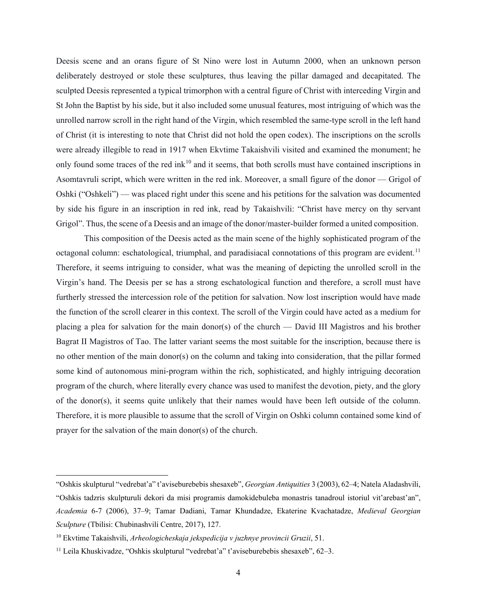Deesis scene and an orans figure of St Nino were lost in Autumn 2000, when an unknown person deliberately destroyed or stole these sculptures, thus leaving the pillar damaged and decapitated. The sculpted Deesis represented a typical trimorphon with a central figure of Christ with interceding Virgin and St John the Baptist by his side, but it also included some unusual features, most intriguing of which was the unrolled narrow scroll in the right hand of the Virgin, which resembled the same-type scroll in the left hand of Christ (it is interesting to note that Christ did not hold the open codex). The inscriptions on the scrolls were already illegible to read in 1917 when Ekvtime Takaishvili visited and examined the monument; he only found some traces of the red ink<sup>[10](#page-3-0)</sup> and it seems, that both scrolls must have contained inscriptions in Asomtavruli script, which were written in the red ink. Moreover, a small figure of the donor — Grigol of Oshki ("Oshkeli") — was placed right under this scene and his petitions for the salvation was documented by side his figure in an inscription in red ink, read by Takaishvili: "Christ have mercy on thy servant Grigol". Thus, the scene of a Deesis and an image of the donor/master-builder formed a united composition.

This composition of the Deesis acted as the main scene of the highly sophisticated program of the octagonal column: eschatological, triumphal, and paradisiacal connotations of this program are evident.<sup>[11](#page-3-1)</sup> Therefore, it seems intriguing to consider, what was the meaning of depicting the unrolled scroll in the Virgin's hand. The Deesis per se has a strong eschatological function and therefore, a scroll must have furtherly stressed the intercession role of the petition for salvation. Now lost inscription would have made the function of the scroll clearer in this context. The scroll of the Virgin could have acted as a medium for placing a plea for salvation for the main donor(s) of the church — David III Magistros and his brother Bagrat II Magistros of Tao. The latter variant seems the most suitable for the inscription, because there is no other mention of the main donor(s) on the column and taking into consideration, that the pillar formed some kind of autonomous mini-program within the rich, sophisticated, and highly intriguing decoration program of the church, where literally every chance was used to manifest the devotion, piety, and the glory of the donor(s), it seems quite unlikely that their names would have been left outside of the column. Therefore, it is more plausible to assume that the scroll of Virgin on Oshki column contained some kind of prayer for the salvation of the main donor(s) of the church.

<sup>&</sup>quot;Oshkis skulpturul "vedrebat'a" t'aviseburebebis shesaxeb", *Georgian Antiquities* 3 (2003), 62‒4; Natela Aladashvili, "Oshkis tadzris skulpturuli dekori da misi programis damokidebuleba monastris tanadroul istoriul vit'arebast'an", *Academia* 6-7 (2006), 37‒9; Tamar Dadiani, Tamar Khundadze, Ekaterine Kvachatadze, *Medieval Georgian Sculpture* (Tbilisi: Chubinashvili Centre, 2017), 127.

<span id="page-3-0"></span><sup>10</sup> Ekvtime Takaishvili, *Arheologicheskaja jekspedicija v juzhnye provincii Gruzii*, 51.

<span id="page-3-1"></span><sup>&</sup>lt;sup>11</sup> Leila Khuskivadze, "Oshkis skulpturul "vedrebat'a" t'aviseburebebis shesaxeb", 62-3.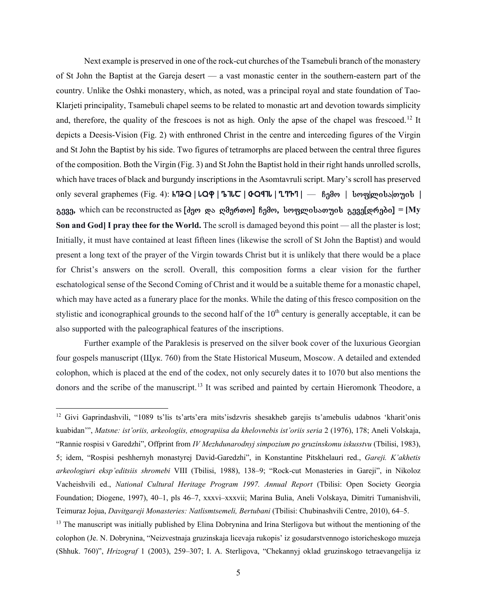Next example is preserved in one of the rock-cut churches of the Tsamebuli branch of the monastery of St John the Baptist at the Gareja desert — a vast monastic center in the southern-eastern part of the country. Unlike the Oshki monastery, which, as noted, was a principal royal and state foundation of Tao-Klarjeti principality, Tsamebuli chapel seems to be related to monastic art and devotion towards simplicity and, therefore, the quality of the frescoes is not as high. Only the apse of the chapel was frescoed.<sup>[12](#page-4-0)</sup> It depicts a Deesis-Vision (Fig. 2) with enthroned Christ in the centre and interceding figures of the Virgin and St John the Baptist by his side. Two figures of tetramorphs are placed between the central three figures of the composition. Both the Virgin (Fig. 3) and St John the Baptist hold in their right hands unrolled scrolls, which have traces of black and burgundy inscriptions in the Asomtavruli script. Mary's scroll has preserved only several graphemes (Fig. 4):  $h$ 720 |  $LQ\phi$  |  $LTC$  |  $CQ\phi$  |  $L$ 777 | — Bgao |  $\delta$ og|gobs|o $\gamma$ o $\delta$  | გევე, which can be reconstructed as [*d*ეო და ღმერთო] ჩემო, სოფლისათუის გევე[დრები] = [My **Son and God] I pray thee for the World.** The scroll is damaged beyond this point — all the plaster is lost; Initially, it must have contained at least fifteen lines (likewise the scroll of St John the Baptist) and would present a long text of the prayer of the Virgin towards Christ but it is unlikely that there would be a place for Christ's answers on the scroll. Overall, this composition forms a clear vision for the further eschatological sense of the Second Coming of Christ and it would be a suitable theme for a monastic chapel, which may have acted as a funerary place for the monks. While the dating of this fresco composition on the stylistic and iconographical grounds to the second half of the 10<sup>th</sup> century is generally acceptable, it can be also supported with the paleographical features of the inscriptions.

Further example of the Paraklesis is preserved on the silver book cover of the luxurious Georgian four gospels manuscript (Щук. 760) from the State Historical Museum, Moscow. A detailed and extended colophon, which is placed at the end of the codex, not only securely dates it to 1070 but also mentions the donors and the scribe of the manuscript.<sup>[13](#page-4-1)</sup> It was scribed and painted by certain Hieromonk Theodore, a

<span id="page-4-0"></span><sup>12</sup> Givi Gaprindashvili, "1089 ts'lis ts'arts'era mits'isdzvris shesakheb garejis ts'amebulis udabnos 'kharit'onis kuabidan'", *Matsne: ist'oriis, arkeologiis, etnograpiisa da khelovnebis ist'oriis seria* 2 (1976), 178; Aneli Volskaja, "Rannie rospisi v Garedzhi", Offprint from *IV Mezhdunarodnyj simpozium po gruzinskomu iskusstvu* (Tbilisi, 1983), 5; idem, "Rospisi peshhernyh monastyrej David-Garedzhi", in Konstantine Pitskhelauri red., *Gareji. K'akhetis arkeologiuri eksp'editsiis shromebi* VIII (Tbilisi, 1988), 138‒9; "Rock-cut Monasteries in Gareji", in Nikoloz Vacheishvili ed., *National Cultural Heritage Program 1997. Annual Report* (Tbilisi: Open Society Georgia Foundation; Diogene, 1997), 40‒1, pls 46‒7, xxxvi‒xxxvii; Marina Bulia, Aneli Volskaya, Dimitri Tumanishvili, Teimuraz Jojua, *Davitgareji Monasteries: Natlismtsemeli, Bertubani* (Tbilisi: Chubinashvili Centre, 2010), 64‒5.

<span id="page-4-1"></span><sup>&</sup>lt;sup>13</sup> The manuscript was initially published by Elina Dobrynina and Irina Sterligova but without the mentioning of the colophon (Je. N. Dobrynina, "Neizvestnaja gruzinskaja licevaja rukopis' iz gosudarstvennogo istoricheskogo muzeja (Shhuk. 760)", *Hrizograf* 1 (2003), 259-307; I. A. Sterligova, "Chekannyj oklad gruzinskogo tetraevangelija iz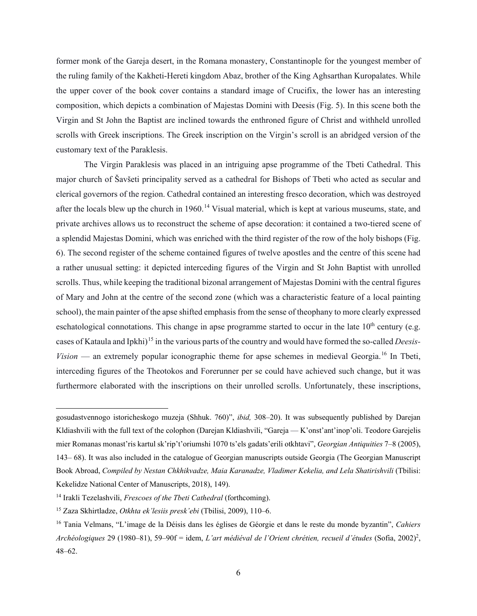former monk of the Gareja desert, in the Romana monastery, Constantinople for the youngest member of the ruling family of the Kakheti-Hereti kingdom Abaz, brother of the King Aghsarthan Kuropalates. While the upper cover of the book cover contains a standard image of Crucifix, the lower has an interesting composition, which depicts a combination of Majestas Domini with Deesis (Fig. 5). In this scene both the Virgin and St John the Baptist are inclined towards the enthroned figure of Christ and withheld unrolled scrolls with Greek inscriptions. The Greek inscription on the Virgin's scroll is an abridged version of the customary text of the Paraklesis.

The Virgin Paraklesis was placed in an intriguing apse programme of the Tbeti Cathedral. This major church of Šavšeti principality served as a cathedral for Bishops of Tbeti who acted as secular and clerical governors of the region. Cathedral contained an interesting fresco decoration, which was destroyed after the locals blew up the church in 1960.<sup>[14](#page-5-0)</sup> Visual material, which is kept at various museums, state, and private archives allows us to reconstruct the scheme of apse decoration: it contained a two-tiered scene of a splendid Majestas Domini, which was enriched with the third register of the row of the holy bishops (Fig. 6). The second register of the scheme contained figures of twelve apostles and the centre of this scene had a rather unusual setting: it depicted interceding figures of the Virgin and St John Baptist with unrolled scrolls. Thus, while keeping the traditional bizonal arrangement of Majestas Domini with the central figures of Mary and John at the centre of the second zone (which was a characteristic feature of a local painting school), the main painter of the apse shifted emphasis from the sense of theophany to more clearly expressed eschatological connotations. This change in apse programme started to occur in the late  $10<sup>th</sup>$  century (e.g. cases of Kataula and Ipkhi) [15](#page-5-1) in the various parts of the country and would have formed the so-called *Deesis-Vision* — an extremely popular iconographic theme for apse schemes in medieval Georgia.<sup>[16](#page-5-2)</sup> In Tbeti, interceding figures of the Theotokos and Forerunner per se could have achieved such change, but it was furthermore elaborated with the inscriptions on their unrolled scrolls. Unfortunately, these inscriptions,

gosudastvennogo istoricheskogo muzeja (Shhuk. 760)", *ibid,* 308‒20). It was subsequently published by Darejan Kldiashvili with the full text of the colophon (Darejan Kldiashvili, "Gareja — K'onst'ant'inop'oli. Teodore Garejelis mier Romanas monast'ris kartul sk'rip't'oriumshi 1070 ts'els gadats'erili otkhtavi", *Georgian Antiquities* 7‒8 (2005), 143‒ 68). It was also included in the catalogue of Georgian manuscripts outside Georgia (The Georgian Manuscript Book Abroad, *Compiled by Nestan Chkhikvadze, Maia Karanadze, Vladimer Kekelia, and Lela Shatirishvili* (Tbilisi: Kekelidze National Center of Manuscripts, 2018), 149).

<span id="page-5-0"></span><sup>14</sup> Irakli Tezelashvili, *Frescoes of the Tbeti Cathedral* (forthcoming).

<span id="page-5-1"></span><sup>15</sup> Zaza Skhirtladze, *Otkhta ek'lesiis presk'ebi* (Tbilisi, 2009), 110‒6.

<span id="page-5-2"></span><sup>16</sup> Tania Velmans, "L'image de la Déisis dans les églises de Géorgie et dans le reste du monde byzantin", *Cahiers*  Archéologiques 29 (1980–81), 59–90f = idem, *L'art médiéval de l'Orient chrétien, recueil d'études* (Sofia, 2002)<sup>2</sup>, 48‒62.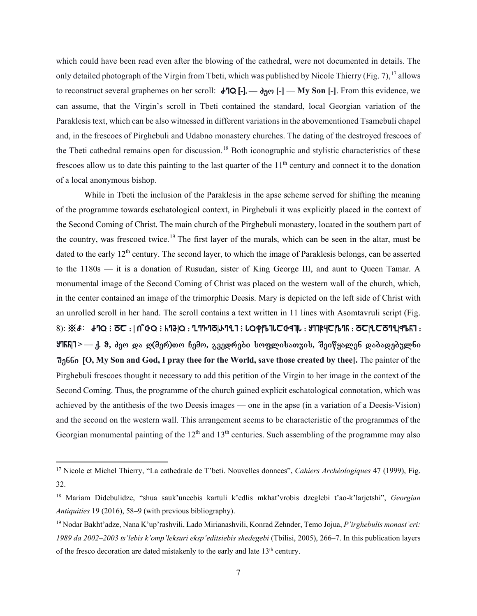which could have been read even after the blowing of the cathedral, were not documented in details. The only detailed photograph of the Virgin from Tbeti, which was published by Nicole Thierry (Fig. 7), <sup>[17](#page-6-0)</sup> allows to reconstruct several graphemes on her scroll:  $\mathbf{d} \cdot \mathbf{Q}$  [-].  $\mathbf{Q}$  [-]  $\mathbf{Q}$  [-]  $\mathbf{Q}$  [-]  $\mathbf{Q}$  [-]  $\mathbf{Q}$  [-]  $\mathbf{Q}$  [-]  $\mathbf{Q}$  [-]  $\mathbf{Q}$  [-]  $\mathbf{Q}$  [-]  $\mathbf{Q}$  [-]  $\mathbf{Q}$  [-]  $\mathbf{Q}$ can assume, that the Virgin's scroll in Tbeti contained the standard, local Georgian variation of the Paraklesis text, which can be also witnessed in different variations in the abovementioned Tsamebuli chapel and, in the frescoes of Pirghebuli and Udabno monastery churches. The dating of the destroyed frescoes of the Tbeti cathedral remains open for discussion.<sup>[18](#page-6-1)</sup> Both iconographic and stylistic characteristics of these frescoes allow us to date this painting to the last quarter of the  $11<sup>th</sup>$  century and connect it to the donation of a local anonymous bishop.

While in Tbeti the inclusion of the Paraklesis in the apse scheme served for shifting the meaning of the programme towards eschatological context, in Pirghebuli it was explicitly placed in the context of the Second Coming of Christ. The main church of the Pirghebuli monastery, located in the southern part of the country, was frescoed twice. [19](#page-6-2) The first layer of the murals, which can be seen in the altar, must be dated to the early  $12<sup>th</sup>$  century. The second layer, to which the image of Paraklesis belongs, can be asserted to the 1180s — it is a donation of Rusudan, sister of King George III, and aunt to Queen Tamar. A monumental image of the Second Coming of Christ was placed on the western wall of the church, which, in the center contained an image of the trimorphic Deesis. Mary is depicted on the left side of Christ with an unrolled scroll in her hand. The scroll contains a text written in 11 lines with Asomtavruli script (Fig.  $8)$ : ※ $$: d$ -TQ  $: 5C : |$  n~ $G$ o  $: k$ Ta $|Q : L$ Th-To $|A$ Tulish  $: LQ$ q $|LQ$ ulisaT $|Q|$ lisaTadebelahadebelaha $: d$ **9766** - 3. & 300 და ღ(მერ)თო ჩემო, გვედრები სოფლისათუის, შეიწყალენ დაბადებულნი Senni [**O, My Son and God, I pray thee for the World, save those created by thee].** The painter of the Pirghebuli frescoes thought it necessary to add this petition of the Virgin to her image in the context of the Second Coming. Thus, the programme of the church gained explicit eschatological connotation, which was achieved by the antithesis of the two Deesis images — one in the apse (in a variation of a Deesis-Vision) and the second on the western wall. This arrangement seems to be characteristic of the programmes of the Georgian monumental painting of the  $12<sup>th</sup>$  and  $13<sup>th</sup>$  centuries. Such assembling of the programme may also

<span id="page-6-0"></span><sup>17</sup> Nicole et Michel Thierry, "La cathedrale de T'beti. Nouvelles donnees", *Cahiers Archéologiques* 47 (1999), Fig. 32.

<span id="page-6-1"></span><sup>18</sup> Mariam Didebulidze, "shua sauk'uneebis kartuli k'edlis mkhat'vrobis dzeglebi t'ao-k'larjetshi", *Georgian Antiquities* 19 (2016), 58–9 (with previous bibliography).

<span id="page-6-2"></span><sup>19</sup> Nodar Bakht'adze, Nana K'up'rashvili, Lado Mirianashvili, Konrad Zehnder, Temo Jojua, *P'irghebulis monast'eri: 1989 da 2002‒2003 ts'lebis k'omp'leksuri eksp'editsiebis shedegebi* (Tbilisi, 2005), 266‒7. In this publication layers of the fresco decoration are dated mistakenly to the early and late  $13<sup>th</sup>$  century.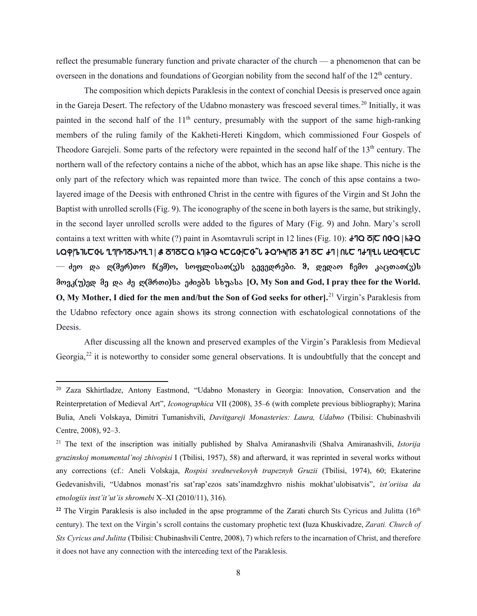reflect the presumable funerary function and private character of the church — a phenomenon that can be overseen in the donations and foundations of Georgian nobility from the second half of the  $12<sup>th</sup>$  century.

The composition which depicts Paraklesis in the context of conchial Deesis is preserved once again in the Gareja Desert. The refectory of the Udabno monastery was frescoed several times.<sup>[20](#page-7-0)</sup> Initially, it was painted in the second half of the  $11<sup>th</sup>$  century, presumably with the support of the same high-ranking members of the ruling family of the Kakheti-Hereti Kingdom, which commissioned Four Gospels of Theodore Garejeli. Some parts of the refectory were repainted in the second half of the 13<sup>th</sup> century. The northern wall of the refectory contains a niche of the abbot, which has an apse like shape. This niche is the only part of the refectory which was repainted more than twice. The conch of this apse contains a twolayered image of the Deesis with enthroned Christ in the centre with figures of the Virgin and St John the Baptist with unrolled scrolls (Fig. 9). The iconography of the scene in both layers is the same, but strikingly, in the second layer unrolled scrolls were added to the figures of Mary (Fig. 9) and John. Mary's scroll contains a text written with white (?) paint in Asomtavruli script in 12 lines (Fig. 10):  $\angle$  TQ  $\overline{\odot}$   $\overline{\odot}$   $\cap$   $\triangle$   $\overline{\odot}$   $\overline{\odot}$   $\overline{\odot}$   $\overline{\odot}$   $\overline{\odot}$   $\overline{\odot}$   $\overline{\odot}$   $\overline{\odot}$   $\overline{\odot}$   $\over$  $\text{L}Q$ p|| $\text{L}U$   $\text{L}Z$  ded  $\text{L}Z$  and  $\text{L}Z$  and  $\text{L}Z$  and  $\text{L}Z$  and  $\text{L}Z$  and  $\text{L}Z$  in  $\text{L}Z$  $-$  ძეო და ღ(მერ)თო ჩ(ემ)ო, სოფლისათ(უ)ს გევედრები. ჵ, დედაო ჩემო კაცთათ(უ)ს მოვკ(უ)ედ მე და ძე ღ(მრთი)სა ეძიებს სხუასა [O, My Son and God, I pray thee for the World. **O, My Mother, I died for the men and/but the Son of God seeks for other].**[21](#page-7-1) Virgin's Paraklesis from the Udabno refectory once again shows its strong connection with eschatological connotations of the **Deesis**.

After discussing all the known and preserved examples of the Virgin's Paraklesis from Medieval Georgia,<sup>[22](#page-7-2)</sup> it is noteworthy to consider some general observations. It is undoubtfully that the concept and

<span id="page-7-0"></span><sup>20</sup> Zaza Skhirtladze, Antony Eastmond, "Udabno Monastery in Georgia: Innovation, Conservation and the Reinterpretation of Medieval Art", *Iconographica* VII (2008), 35‒6 (with complete previous bibliography); Marina Bulia, Aneli Volskaya, Dimitri Tumanishvili, *Davitgareji Monasteries: Laura, Udabno* (Tbilisi: Chubinashvili Centre, 2008), 92–3.

<span id="page-7-1"></span><sup>21</sup> The text of the inscription was initially published by Shalva Amiranashvili (Shalva Amiranashvili, *Istorija gruzinskoj monumental'noj zhivopisi* I (Tbilisi, 1957), 58) and afterward, it was reprinted in several works without any corrections (cf.: Aneli Volskaja, *Rospisi srednevekovyh trapeznyh Gruzii* (Tbilisi, 1974), 60; Ekaterine Gedevanishvili, "Udabnos monast'ris sat'rap'ezos sats'inamdzghvro nishis mokhat'ulobisatvis", *ist'oriisa da etnologiis inst'it'ut'is shromebi* X‒XI (2010/11), 316).

<span id="page-7-2"></span><sup>&</sup>lt;sup>22</sup> The Virgin Paraklesis is also included in the apse programme of the Zarati church Sts Cyricus and Julitta  $(16<sup>th</sup>$ century). The text on the Virgin's scroll contains the customary prophetic text **(**Iuza Khuskivadze, *Zarati. Church of Sts Cyricus and Julitta* (Tbilisi: Chubinashvili Centre, 2008), 7) which refers to the incarnation of Christ, and therefore it does not have any connection with the interceding text of the Paraklesis.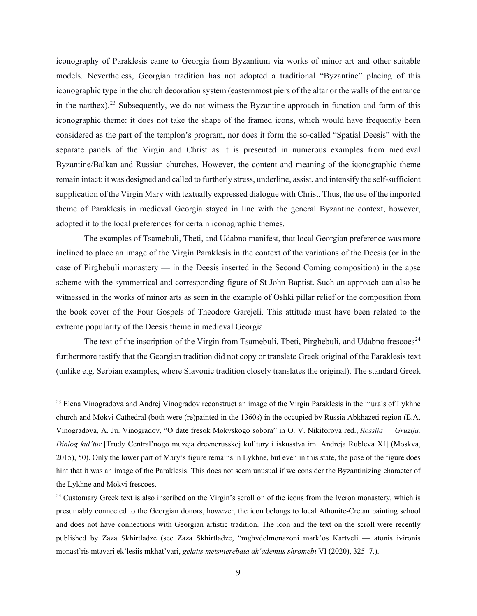iconography of Paraklesis came to Georgia from Byzantium via works of minor art and other suitable models. Nevertheless, Georgian tradition has not adopted a traditional "Byzantine" placing of this iconographic type in the church decoration system (easternmost piers of the altar or the walls of the entrance in the narthex).<sup>[23](#page-8-0)</sup> Subsequently, we do not witness the Byzantine approach in function and form of this iconographic theme: it does not take the shape of the framed icons, which would have frequently been considered as the part of the templon's program, nor does it form the so-called "Spatial Deesis" with the separate panels of the Virgin and Christ as it is presented in numerous examples from medieval Byzantine/Balkan and Russian churches. However, the content and meaning of the iconographic theme remain intact: it was designed and called to furtherly stress, underline, assist, and intensify the self-sufficient supplication of the Virgin Mary with textually expressed dialogue with Christ. Thus, the use of the imported theme of Paraklesis in medieval Georgia stayed in line with the general Byzantine context, however, adopted it to the local preferences for certain iconographic themes.

The examples of Tsamebuli, Tbeti, and Udabno manifest, that local Georgian preference was more inclined to place an image of the Virgin Paraklesis in the context of the variations of the Deesis (or in the case of Pirghebuli monastery — in the Deesis inserted in the Second Coming composition) in the apse scheme with the symmetrical and corresponding figure of St John Baptist. Such an approach can also be witnessed in the works of minor arts as seen in the example of Oshki pillar relief or the composition from the book cover of the Four Gospels of Theodore Garejeli. This attitude must have been related to the extreme popularity of the Deesis theme in medieval Georgia.

The text of the inscription of the Virgin from Tsamebuli, Tbeti, Pirghebuli, and Udabno frescoes<sup>[24](#page-8-1)</sup> furthermore testify that the Georgian tradition did not copy or translate Greek original of the Paraklesis text (unlike e.g. Serbian examples, where Slavonic tradition closely translates the original). The standard Greek

<span id="page-8-0"></span><sup>&</sup>lt;sup>23</sup> Elena Vinogradova and Andrej Vinogradov reconstruct an image of the Virgin Paraklesis in the murals of Lykhne church and Mokvi Cathedral (both were (re)painted in the 1360s) in the occupied by Russia Abkhazeti region (E.A. Vinogradova, A. Ju. Vinogradov, "O date fresok Mokvskogo sobora" in O. V. Nikiforova red., *Rossija — Gruzija. Dialog kul'tur* [Trudy Central'nogo muzeja drevnerusskoj kul'tury i iskusstva im. Andreja Rubleva XI] (Moskva, 2015), 50). Only the lower part of Mary's figure remains in Lykhne, but even in this state, the pose of the figure does hint that it was an image of the Paraklesis. This does not seem unusual if we consider the Byzantinizing character of the Lykhne and Mokvi frescoes.

<span id="page-8-1"></span><sup>&</sup>lt;sup>24</sup> Customary Greek text is also inscribed on the Virgin's scroll on of the icons from the Iveron monastery, which is presumably connected to the Georgian donors, however, the icon belongs to local Athonite-Cretan painting school and does not have connections with Georgian artistic tradition. The icon and the text on the scroll were recently published by Zaza Skhirtladze (see Zaza Skhirtladze, "mghvdelmonazoni mark'os Kartveli — atonis ivironis monast'ris mtavari ek'lesiis mkhat'vari, *gelatis metsnierebata ak'ademiis shromebi* VI (2020), 325‒7.).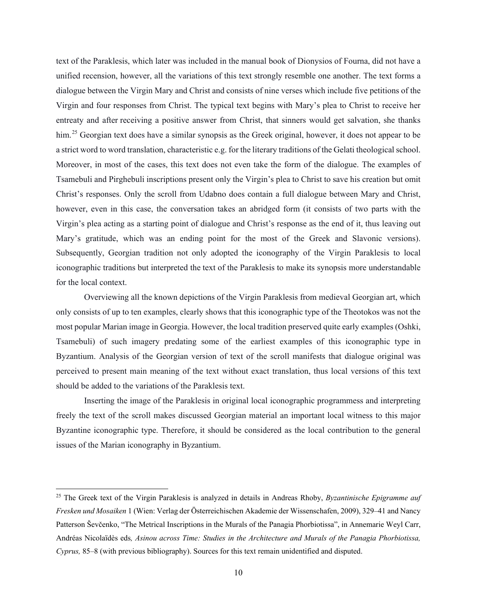text of the Paraklesis, which later was included in the manual book of Dionysios of Fourna, did not have a unified recension, however, all the variations of this text strongly resemble one another. The text forms a dialogue between the Virgin Mary and Christ and consists of nine verses which include five petitions of the Virgin and four responses from Christ. The typical text begins with Mary's plea to Christ to receive her entreaty and after receiving a positive answer from Christ, that sinners would get salvation, she thanks him.<sup>[25](#page-9-0)</sup> Georgian text does have a similar synopsis as the Greek original, however, it does not appear to be a strict word to word translation, characteristic e.g. for the literary traditions of the Gelati theological school. Moreover, in most of the cases, this text does not even take the form of the dialogue. The examples of Tsamebuli and Pirghebuli inscriptions present only the Virgin's plea to Christ to save his creation but omit Christ's responses. Only the scroll from Udabno does contain a full dialogue between Mary and Christ, however, even in this case, the conversation takes an abridged form (it consists of two parts with the Virgin's plea acting as a starting point of dialogue and Christ's response as the end of it, thus leaving out Mary's gratitude, which was an ending point for the most of the Greek and Slavonic versions). Subsequently, Georgian tradition not only adopted the iconography of the Virgin Paraklesis to local iconographic traditions but interpreted the text of the Paraklesis to make its synopsis more understandable for the local context.

Overviewing all the known depictions of the Virgin Paraklesis from medieval Georgian art, which only consists of up to ten examples, clearly shows that this iconographic type of the Theotokos was not the most popular Marian image in Georgia. However, the local tradition preserved quite early examples (Oshki, Tsamebuli) of such imagery predating some of the earliest examples of this iconographic type in Byzantium. Analysis of the Georgian version of text of the scroll manifests that dialogue original was perceived to present main meaning of the text without exact translation, thus local versions of this text should be added to the variations of the Paraklesis text.

Inserting the image of the Paraklesis in original local iconographic programmess and interpreting freely the text of the scroll makes discussed Georgian material an important local witness to this major Byzantine iconographic type. Therefore, it should be considered as the local contribution to the general issues of the Marian iconography in Byzantium.

<span id="page-9-0"></span><sup>25</sup> The Greek text of the Virgin Paraklesis is analyzed in details in Andreas Rhoby, *Byzantinische Epigramme auf Fresken und Mosaiken* 1 (Wien: Verlag der Österreichischen Akademie der Wissenschafen, 2009), 329–41 and Nancy Patterson Ševčenko, "The Metrical Inscriptions in the Murals of the Panagia Phorbiotissa", in Annemarie Weyl Carr, Andréas Nicolaïdès eds*, Asinou across Time: Studies in the Architecture and Murals of the Panagia Phorbiotissa, Cyprus,* 85‒8 (with previous bibliography). Sources for this text remain unidentified and disputed.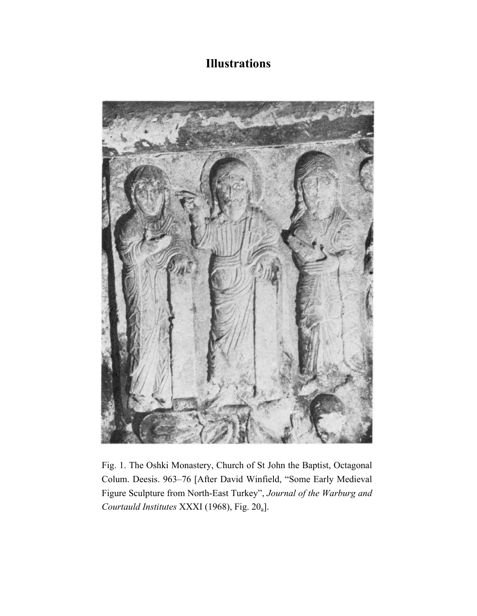## **Illustrations**



Fig. 1. The Oshki Monastery, Church of St John the Baptist, Octagonal Colum. Deesis. 963–76 [After David Winfield, "Some Early Medieval Figure Sculpture from North-East Turkey", *Journal of the Warburg and Courtauld Institutes* XXXI (1968), Fig. 20a].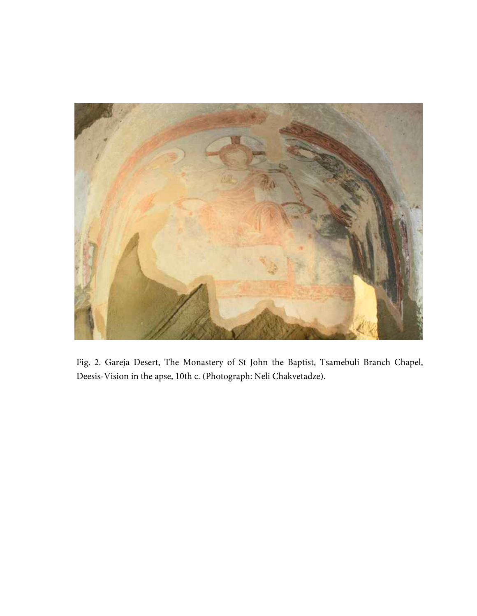

Fig. 2. Gareja Desert, The Monastery of St John the Baptist, Tsamebuli Branch Chapel, Deesis-Vision in the apse, 10th c. (Photograph: Neli Chakvetadze).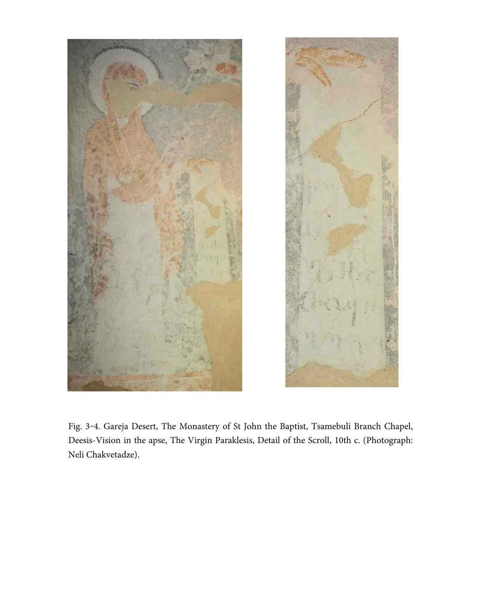



Fig. 3-4. Gareja Desert, The Monastery of St John the Baptist, Tsamebuli Branch Chapel, Deesis-Vision in the apse, The Virgin Paraklesis, Detail of the Scroll, 10th c. (Photograph: Neli Chakvetadze).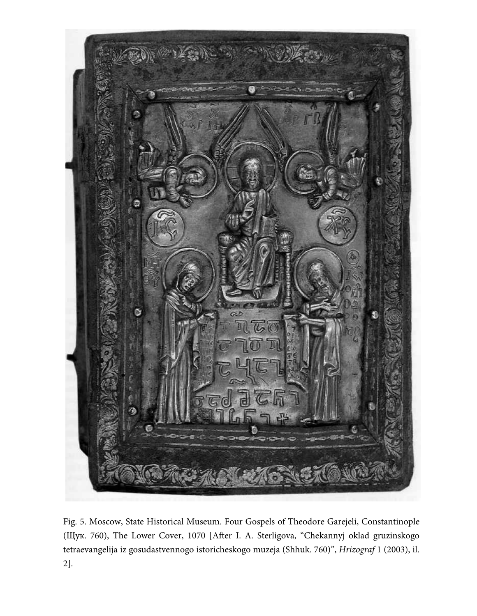

Fig. 5. Moscow, State Historical Museum. Four Gospels of Theodore Garejeli, Constantinople (Щук. 760), The Lower Cover, 1070 [After I. A. Sterligova, "Chekannyj oklad gruzinskogo tetraevangelija iz gosudastvennogo istoricheskogo muzeja (Shhuk. 760)", *Hrizograf* 1 (2003), il. 2].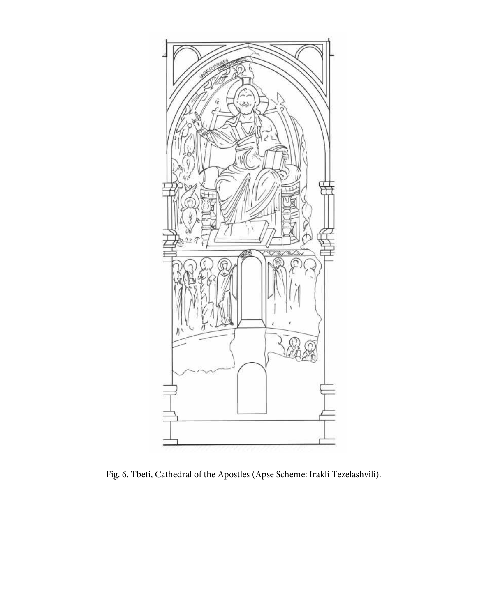

Fig. 6. Tbeti, Cathedral of the Apostles (Apse Scheme: Irakli Tezelashvili).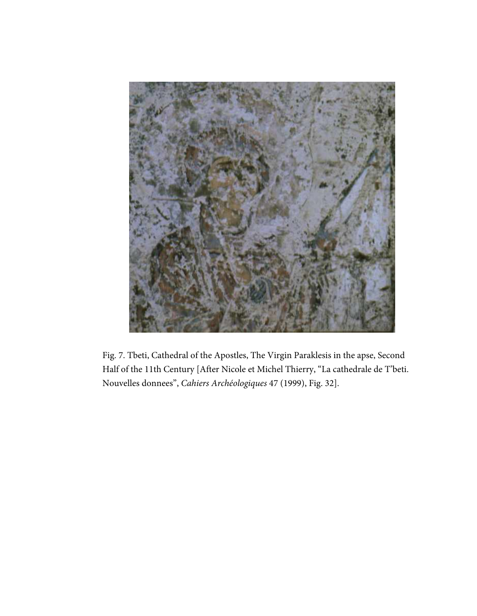

Fig. 7. Tbeti, Cathedral of the Apostles, The Virgin Paraklesis in the apse, Second Half of the 11th Century [After Nicole et Michel Thierry, "La cathedrale de T'beti. Nouvelles donnees", *Cahiers Archéologiques* 47 (1999), Fig. 32].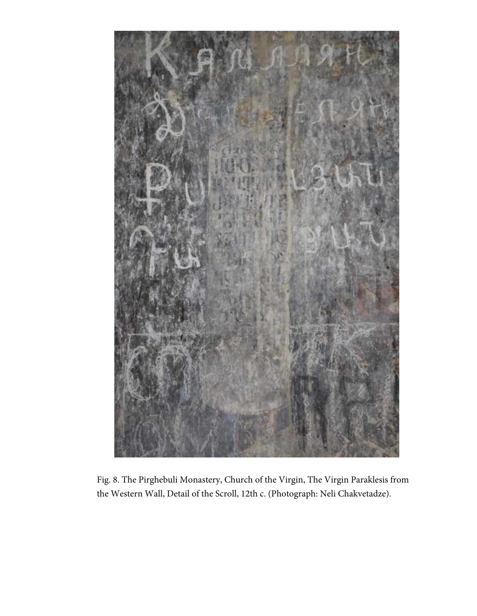

Fig. 8. The Pirghebuli Monastery, Church of the Virgin, The Virgin Paraklesis from the Western Wall, Detail of the Scroll, 12th c. (Photograph: Neli Chakvetadze).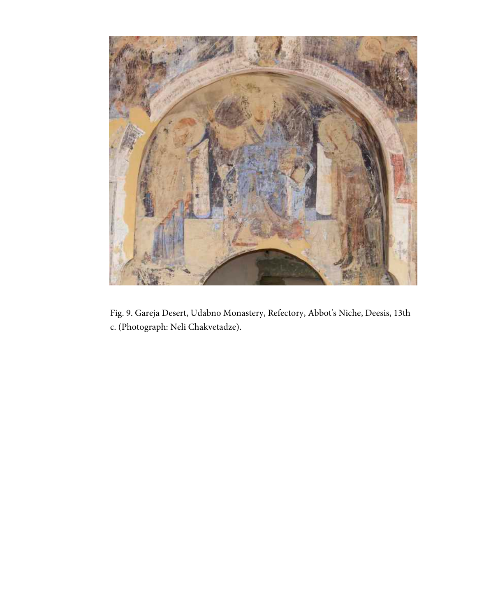

Fig. 9. Gareja Desert, Udabno Monastery, Refectory, Abbot's Niche, Deesis, 13th c. (Photograph: Neli Chakvetadze).